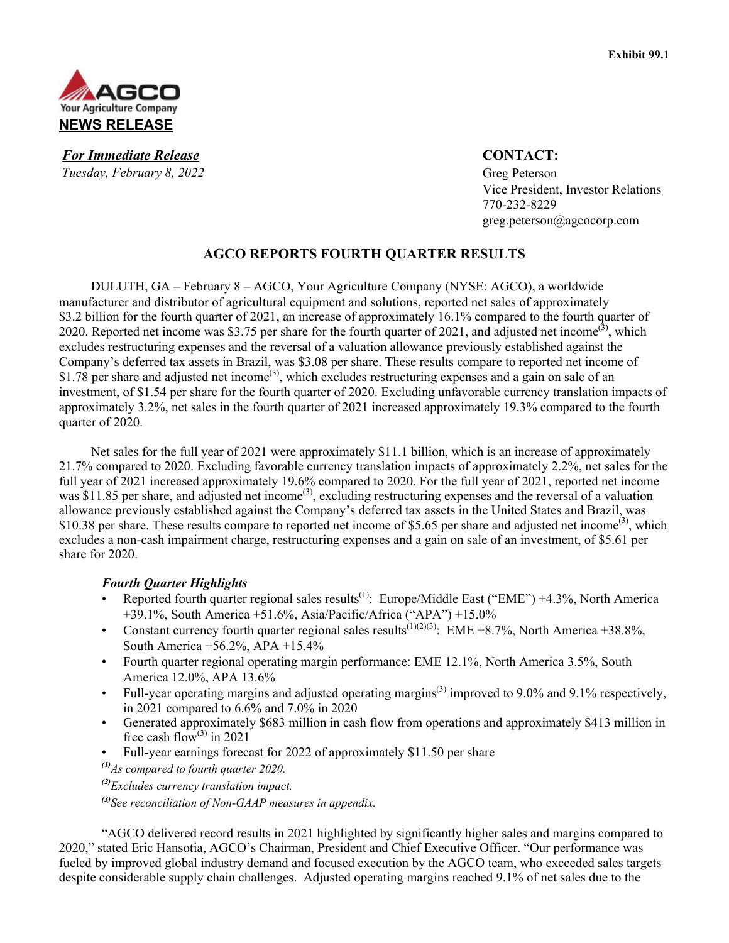

*For Immediate Release* **CONTACT:** *Tuesday, February 8, 2022* Greg Peterson

Vice President, Investor Relations 770-232-8229 greg.peterson@agcocorp.com

## **AGCO REPORTS FOURTH QUARTER RESULTS**

DULUTH, GA – February 8 – AGCO, Your Agriculture Company (NYSE: AGCO), a worldwide manufacturer and distributor of agricultural equipment and solutions, reported net sales of approximately \$3.2 billion for the fourth quarter of 2021, an increase of approximately 16.1% compared to the fourth quarter of 2020. Reported net income was \$3.75 per share for the fourth quarter of 2021, and adjusted net income<sup>(3)</sup>, which excludes restructuring expenses and the reversal of a valuation allowance previously established against the Company's deferred tax assets in Brazil, was \$3.08 per share. These results compare to reported net income of \$1.78 per share and adjusted net income<sup>(3)</sup>, which excludes restructuring expenses and a gain on sale of an investment, of \$1.54 per share for the fourth quarter of 2020. Excluding unfavorable currency translation impacts of approximately 3.2%, net sales in the fourth quarter of 2021 increased approximately 19.3% compared to the fourth quarter of 2020.

 Net sales for the full year of 2021 were approximately \$11.1 billion, which is an increase of approximately 21.7% compared to 2020. Excluding favorable currency translation impacts of approximately 2.2%, net sales for the full year of 2021 increased approximately 19.6% compared to 2020. For the full year of 2021, reported net income was \$11.85 per share, and adjusted net income<sup>(3)</sup>, excluding restructuring expenses and the reversal of a valuation allowance previously established against the Company's deferred tax assets in the United States and Brazil, was \$10.38 per share. These results compare to reported net income of \$5.65 per share and adjusted net income<sup>(3)</sup>, which excludes a non-cash impairment charge, restructuring expenses and a gain on sale of an investment, of \$5.61 per share for 2020.

### *Fourth Quarter Highlights*

- Reported fourth quarter regional sales results<sup>(1)</sup>: Europe/Middle East ("EME") +4.3%, North America +39.1%, South America +51.6%, Asia/Pacific/Africa ("APA") +15.0%
- Constant currency fourth quarter regional sales results<sup>(1)(2)(3)</sup>: EME +8.7%, North America +38.8%, South America +56.2%, APA +15.4%
- Fourth quarter regional operating margin performance: EME 12.1%, North America 3.5%, South America 12.0%, APA 13.6%
- Full-year operating margins and adjusted operating margins<sup>(3)</sup> improved to 9.0% and 9.1% respectively, in 2021 compared to 6.6% and 7.0% in 2020
- Generated approximately \$683 million in cash flow from operations and approximately \$413 million in free cash flow<sup>(3)</sup> in 2021
- Full-year earnings forecast for 2022 of approximately \$11.50 per share

*(1)As compared to fourth quarter 2020.*

*(2)Excludes currency translation impact.*

*(3)See reconciliation of Non-GAAP measures in appendix.*

"AGCO delivered record results in 2021 highlighted by significantly higher sales and margins compared to 2020," stated Eric Hansotia, AGCO's Chairman, President and Chief Executive Officer. "Our performance was fueled by improved global industry demand and focused execution by the AGCO team, who exceeded sales targets despite considerable supply chain challenges. Adjusted operating margins reached 9.1% of net sales due to the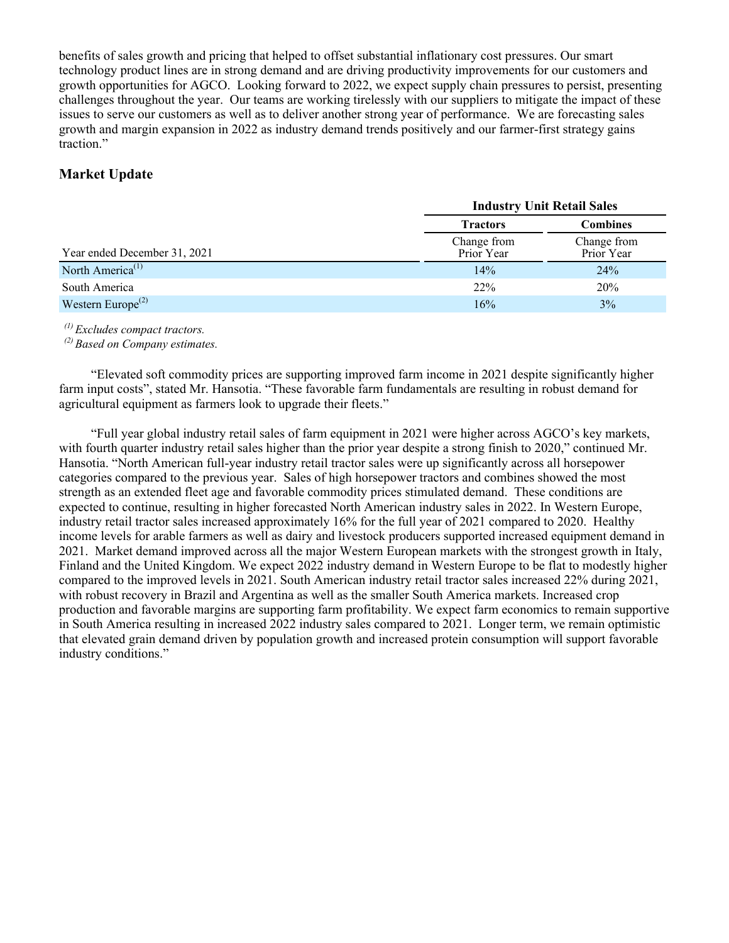benefits of sales growth and pricing that helped to offset substantial inflationary cost pressures. Our smart technology product lines are in strong demand and are driving productivity improvements for our customers and growth opportunities for AGCO. Looking forward to 2022, we expect supply chain pressures to persist, presenting challenges throughout the year. Our teams are working tirelessly with our suppliers to mitigate the impact of these issues to serve our customers as well as to deliver another strong year of performance. We are forecasting sales growth and margin expansion in 2022 as industry demand trends positively and our farmer-first strategy gains traction."

# **Market Update**

|                               |                           | <b>Industry Unit Retail Sales</b> |
|-------------------------------|---------------------------|-----------------------------------|
|                               | <b>Tractors</b>           | <b>Combines</b>                   |
| Year ended December 31, 2021  | Change from<br>Prior Year | Change from<br>Prior Year         |
| North America <sup>(1)</sup>  | 14%                       | 24%                               |
| South America                 | 22%                       | 20%                               |
| Western Europe <sup>(2)</sup> | 16%                       | 3%                                |

*(1) Excludes compact tractors.*

*(2) Based on Company estimates.*

"Elevated soft commodity prices are supporting improved farm income in 2021 despite significantly higher farm input costs", stated Mr. Hansotia. "These favorable farm fundamentals are resulting in robust demand for agricultural equipment as farmers look to upgrade their fleets."

 "Full year global industry retail sales of farm equipment in 2021 were higher across AGCO's key markets, with fourth quarter industry retail sales higher than the prior year despite a strong finish to 2020," continued Mr. Hansotia. "North American full-year industry retail tractor sales were up significantly across all horsepower categories compared to the previous year. Sales of high horsepower tractors and combines showed the most strength as an extended fleet age and favorable commodity prices stimulated demand. These conditions are expected to continue, resulting in higher forecasted North American industry sales in 2022. In Western Europe, industry retail tractor sales increased approximately 16% for the full year of 2021 compared to 2020. Healthy income levels for arable farmers as well as dairy and livestock producers supported increased equipment demand in 2021. Market demand improved across all the major Western European markets with the strongest growth in Italy, Finland and the United Kingdom. We expect 2022 industry demand in Western Europe to be flat to modestly higher compared to the improved levels in 2021. South American industry retail tractor sales increased 22% during 2021, with robust recovery in Brazil and Argentina as well as the smaller South America markets. Increased crop production and favorable margins are supporting farm profitability. We expect farm economics to remain supportive in South America resulting in increased 2022 industry sales compared to 2021. Longer term, we remain optimistic that elevated grain demand driven by population growth and increased protein consumption will support favorable industry conditions."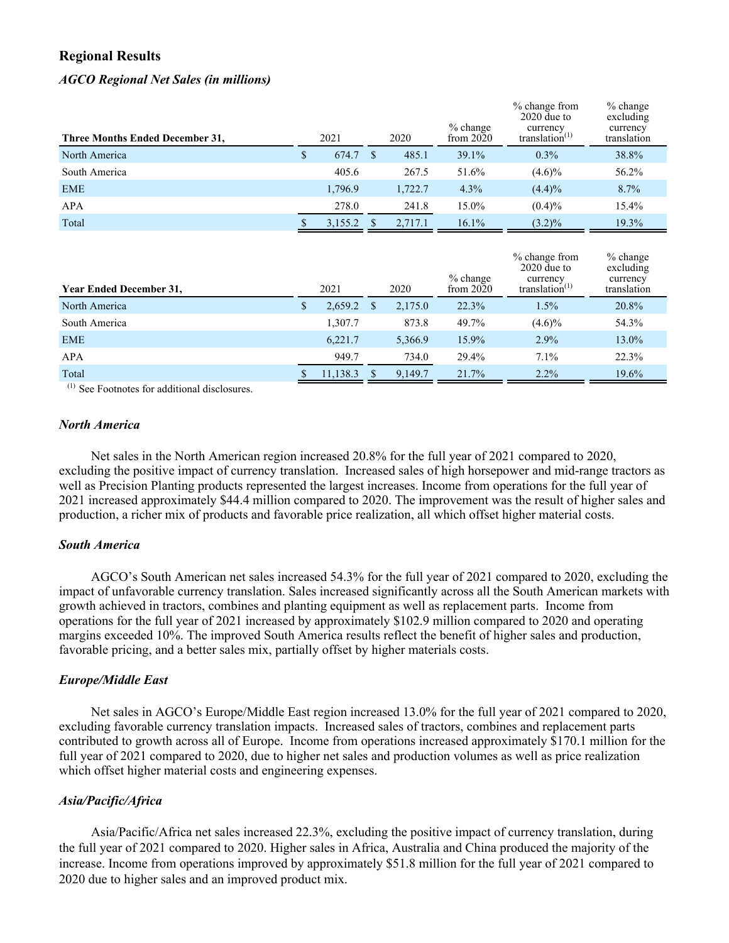## **Regional Results**

## *AGCO Regional Net Sales (in millions)*

| Three Months Ended December 31, | 2021        |    | 2020    | $%$ change<br>from $2020$ | % change from<br>$2020$ due to<br>currency<br>translation <sup><math>(1)</math></sup> | % change<br>excluding<br>currency<br>translation |
|---------------------------------|-------------|----|---------|---------------------------|---------------------------------------------------------------------------------------|--------------------------------------------------|
| North America                   | \$<br>674.7 | -S | 485.1   | 39.1%                     | $0.3\%$                                                                               | 38.8%                                            |
| South America                   | 405.6       |    | 267.5   | 51.6%                     | $(4.6)\%$                                                                             | 56.2%                                            |
| <b>EME</b>                      | 1,796.9     |    | 1,722.7 | 4.3%                      | (4.4)%                                                                                | 8.7%                                             |
| <b>APA</b>                      | 278.0       |    | 241.8   | 15.0%                     | $(0.4)\%$                                                                             | 15.4%                                            |
| Total                           | 3,155.2     |    | 2,717.1 | 16.1%                     | $(3.2)\%$                                                                             | 19.3%                                            |
|                                 |             |    |         |                           |                                                                                       | 0/1.                                             |

| <b>Year Ended December 31,</b> | 2021     | 2020    | $%$ change<br>from $2020$ | % change from<br>$2020$ due to<br>currency<br>translation $(1)$ | % change<br>excluding<br>currency<br>translation |
|--------------------------------|----------|---------|---------------------------|-----------------------------------------------------------------|--------------------------------------------------|
| North America                  | 2,659.2  | 2,175.0 | 22.3%                     | 1.5%                                                            | 20.8%                                            |
| South America                  | 1.307.7  | 873.8   | 49.7%                     | $(4.6)\%$                                                       | 54.3%                                            |
| <b>EME</b>                     | 6,221.7  | 5,366.9 | 15.9%                     | 2.9%                                                            | 13.0%                                            |
| <b>APA</b>                     | 949.7    | 734.0   | 29.4%                     | 7.1%                                                            | 22.3%                                            |
| Total                          | 11,138.3 | 9,149.7 | 21.7%                     | $2.2\%$                                                         | 19.6%                                            |

 $(1)$  See Footnotes for additional disclosures.

#### *North America*

 Net sales in the North American region increased 20.8% for the full year of 2021 compared to 2020, excluding the positive impact of currency translation. Increased sales of high horsepower and mid-range tractors as well as Precision Planting products represented the largest increases. Income from operations for the full year of 2021 increased approximately \$44.4 million compared to 2020. The improvement was the result of higher sales and production, a richer mix of products and favorable price realization, all which offset higher material costs.

### *South America*

 AGCO's South American net sales increased 54.3% for the full year of 2021 compared to 2020, excluding the impact of unfavorable currency translation. Sales increased significantly across all the South American markets with growth achieved in tractors, combines and planting equipment as well as replacement parts. Income from operations for the full year of 2021 increased by approximately \$102.9 million compared to 2020 and operating margins exceeded 10%. The improved South America results reflect the benefit of higher sales and production, favorable pricing, and a better sales mix, partially offset by higher materials costs.

### *Europe/Middle East*

 Net sales in AGCO's Europe/Middle East region increased 13.0% for the full year of 2021 compared to 2020, excluding favorable currency translation impacts. Increased sales of tractors, combines and replacement parts contributed to growth across all of Europe. Income from operations increased approximately \$170.1 million for the full year of 2021 compared to 2020, due to higher net sales and production volumes as well as price realization which offset higher material costs and engineering expenses.

### *Asia/Pacific/Africa*

 Asia/Pacific/Africa net sales increased 22.3%, excluding the positive impact of currency translation, during the full year of 2021 compared to 2020. Higher sales in Africa, Australia and China produced the majority of the increase. Income from operations improved by approximately \$51.8 million for the full year of 2021 compared to 2020 due to higher sales and an improved product mix.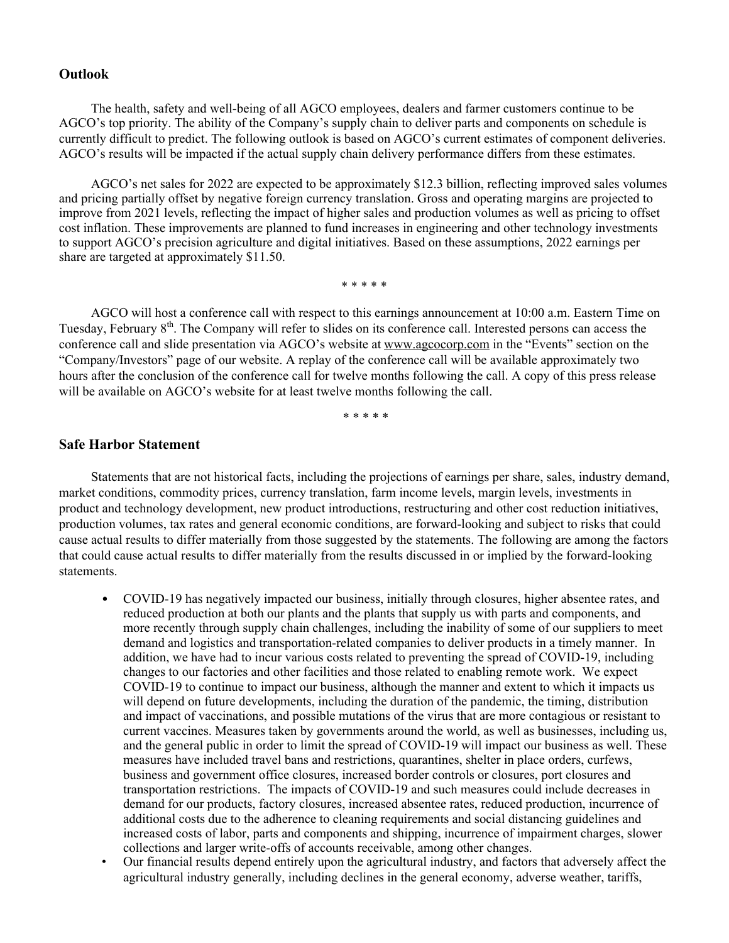### **Outlook**

The health, safety and well-being of all AGCO employees, dealers and farmer customers continue to be AGCO's top priority. The ability of the Company's supply chain to deliver parts and components on schedule is currently difficult to predict. The following outlook is based on AGCO's current estimates of component deliveries. AGCO's results will be impacted if the actual supply chain delivery performance differs from these estimates.

AGCO's net sales for 2022 are expected to be approximately \$12.3 billion, reflecting improved sales volumes and pricing partially offset by negative foreign currency translation. Gross and operating margins are projected to improve from 2021 levels, reflecting the impact of higher sales and production volumes as well as pricing to offset cost inflation. These improvements are planned to fund increases in engineering and other technology investments to support AGCO's precision agriculture and digital initiatives. Based on these assumptions, 2022 earnings per share are targeted at approximately \$11.50.

\* \* \* \* \*

 AGCO will host a conference call with respect to this earnings announcement at 10:00 a.m. Eastern Time on Tuesday, February 8<sup>th</sup>. The Company will refer to slides on its conference call. Interested persons can access the conference call and slide presentation via AGCO's website at www.agcocorp.com in the "Events" section on the "Company/Investors" page of our website. A replay of the conference call will be available approximately two hours after the conclusion of the conference call for twelve months following the call. A copy of this press release will be available on AGCO's website for at least twelve months following the call.

\* \* \* \* \*

#### **Safe Harbor Statement**

 Statements that are not historical facts, including the projections of earnings per share, sales, industry demand, market conditions, commodity prices, currency translation, farm income levels, margin levels, investments in product and technology development, new product introductions, restructuring and other cost reduction initiatives, production volumes, tax rates and general economic conditions, are forward-looking and subject to risks that could cause actual results to differ materially from those suggested by the statements. The following are among the factors that could cause actual results to differ materially from the results discussed in or implied by the forward-looking statements.

- COVID-19 has negatively impacted our business, initially through closures, higher absentee rates, and reduced production at both our plants and the plants that supply us with parts and components, and more recently through supply chain challenges, including the inability of some of our suppliers to meet demand and logistics and transportation-related companies to deliver products in a timely manner. In addition, we have had to incur various costs related to preventing the spread of COVID-19, including changes to our factories and other facilities and those related to enabling remote work. We expect COVID-19 to continue to impact our business, although the manner and extent to which it impacts us will depend on future developments, including the duration of the pandemic, the timing, distribution and impact of vaccinations, and possible mutations of the virus that are more contagious or resistant to current vaccines. Measures taken by governments around the world, as well as businesses, including us, and the general public in order to limit the spread of COVID-19 will impact our business as well. These measures have included travel bans and restrictions, quarantines, shelter in place orders, curfews, business and government office closures, increased border controls or closures, port closures and transportation restrictions. The impacts of COVID-19 and such measures could include decreases in demand for our products, factory closures, increased absentee rates, reduced production, incurrence of additional costs due to the adherence to cleaning requirements and social distancing guidelines and increased costs of labor, parts and components and shipping, incurrence of impairment charges, slower collections and larger write-offs of accounts receivable, among other changes.
- Our financial results depend entirely upon the agricultural industry, and factors that adversely affect the agricultural industry generally, including declines in the general economy, adverse weather, tariffs,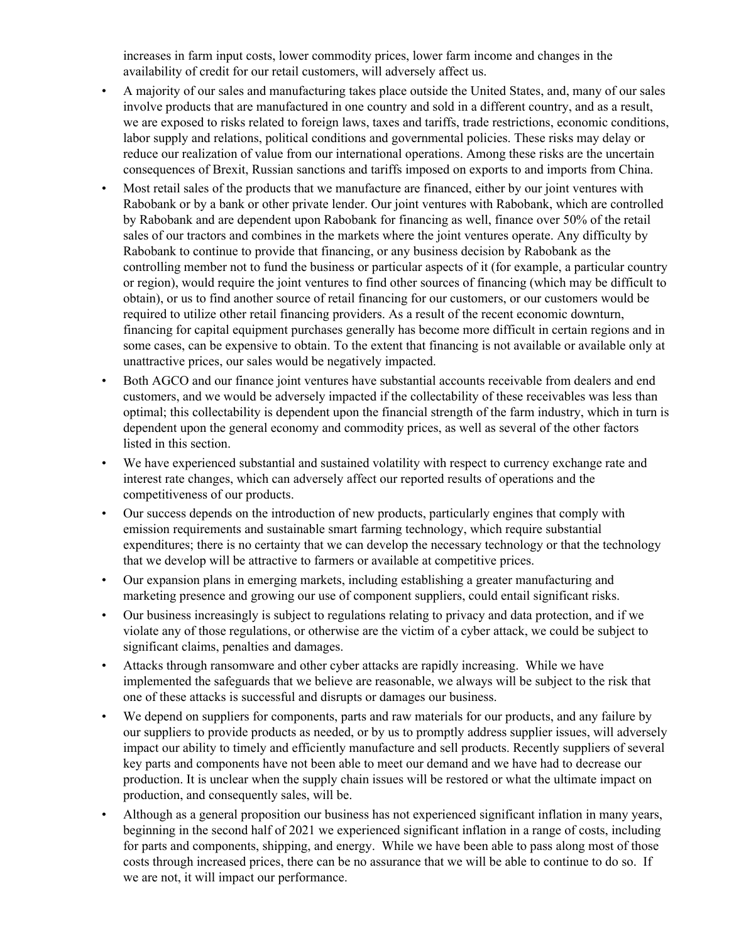increases in farm input costs, lower commodity prices, lower farm income and changes in the availability of credit for our retail customers, will adversely affect us.

- A majority of our sales and manufacturing takes place outside the United States, and, many of our sales involve products that are manufactured in one country and sold in a different country, and as a result, we are exposed to risks related to foreign laws, taxes and tariffs, trade restrictions, economic conditions, labor supply and relations, political conditions and governmental policies. These risks may delay or reduce our realization of value from our international operations. Among these risks are the uncertain consequences of Brexit, Russian sanctions and tariffs imposed on exports to and imports from China.
- Most retail sales of the products that we manufacture are financed, either by our joint ventures with Rabobank or by a bank or other private lender. Our joint ventures with Rabobank, which are controlled by Rabobank and are dependent upon Rabobank for financing as well, finance over 50% of the retail sales of our tractors and combines in the markets where the joint ventures operate. Any difficulty by Rabobank to continue to provide that financing, or any business decision by Rabobank as the controlling member not to fund the business or particular aspects of it (for example, a particular country or region), would require the joint ventures to find other sources of financing (which may be difficult to obtain), or us to find another source of retail financing for our customers, or our customers would be required to utilize other retail financing providers. As a result of the recent economic downturn, financing for capital equipment purchases generally has become more difficult in certain regions and in some cases, can be expensive to obtain. To the extent that financing is not available or available only at unattractive prices, our sales would be negatively impacted.
- Both AGCO and our finance joint ventures have substantial accounts receivable from dealers and end customers, and we would be adversely impacted if the collectability of these receivables was less than optimal; this collectability is dependent upon the financial strength of the farm industry, which in turn is dependent upon the general economy and commodity prices, as well as several of the other factors listed in this section.
- We have experienced substantial and sustained volatility with respect to currency exchange rate and interest rate changes, which can adversely affect our reported results of operations and the competitiveness of our products.
- Our success depends on the introduction of new products, particularly engines that comply with emission requirements and sustainable smart farming technology, which require substantial expenditures; there is no certainty that we can develop the necessary technology or that the technology that we develop will be attractive to farmers or available at competitive prices.
- Our expansion plans in emerging markets, including establishing a greater manufacturing and marketing presence and growing our use of component suppliers, could entail significant risks.
- Our business increasingly is subject to regulations relating to privacy and data protection, and if we violate any of those regulations, or otherwise are the victim of a cyber attack, we could be subject to significant claims, penalties and damages.
- Attacks through ransomware and other cyber attacks are rapidly increasing. While we have implemented the safeguards that we believe are reasonable, we always will be subject to the risk that one of these attacks is successful and disrupts or damages our business.
- We depend on suppliers for components, parts and raw materials for our products, and any failure by our suppliers to provide products as needed, or by us to promptly address supplier issues, will adversely impact our ability to timely and efficiently manufacture and sell products. Recently suppliers of several key parts and components have not been able to meet our demand and we have had to decrease our production. It is unclear when the supply chain issues will be restored or what the ultimate impact on production, and consequently sales, will be.
- Although as a general proposition our business has not experienced significant inflation in many years, beginning in the second half of 2021 we experienced significant inflation in a range of costs, including for parts and components, shipping, and energy. While we have been able to pass along most of those costs through increased prices, there can be no assurance that we will be able to continue to do so. If we are not, it will impact our performance.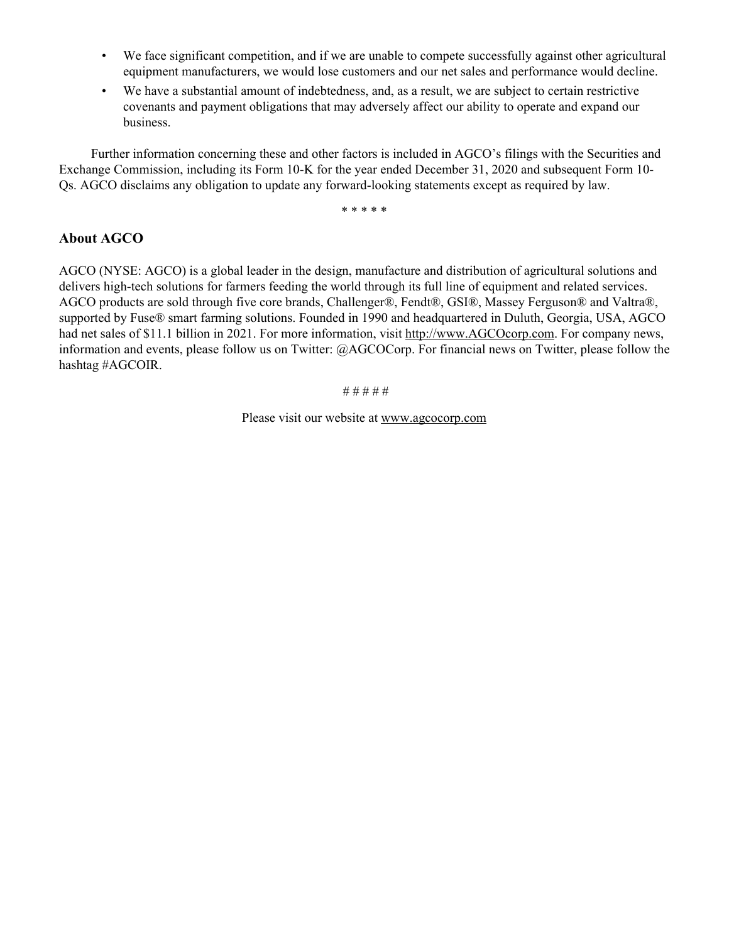- We face significant competition, and if we are unable to compete successfully against other agricultural equipment manufacturers, we would lose customers and our net sales and performance would decline.
- We have a substantial amount of indebtedness, and, as a result, we are subject to certain restrictive covenants and payment obligations that may adversely affect our ability to operate and expand our business.

 Further information concerning these and other factors is included in AGCO's filings with the Securities and Exchange Commission, including its Form 10-K for the year ended December 31, 2020 and subsequent Form 10- Qs. AGCO disclaims any obligation to update any forward-looking statements except as required by law.

\* \* \* \* \*

## **About AGCO**

AGCO (NYSE: AGCO) is a global leader in the design, manufacture and distribution of agricultural solutions and delivers high-tech solutions for farmers feeding the world through its full line of equipment and related services. AGCO products are sold through five core brands, Challenger®, Fendt®, GSI®, Massey Ferguson® and Valtra®, supported by Fuse® smart farming solutions. Founded in 1990 and headquartered in Duluth, Georgia, USA, AGCO had net sales of \$11.1 billion in 2021. For more information, visit http://www.AGCOcorp.com. For company news, information and events, please follow us on Twitter: @AGCOCorp. For financial news on Twitter, please follow the hashtag #AGCOIR.

# # # # #

Please visit our website at www.agcocorp.com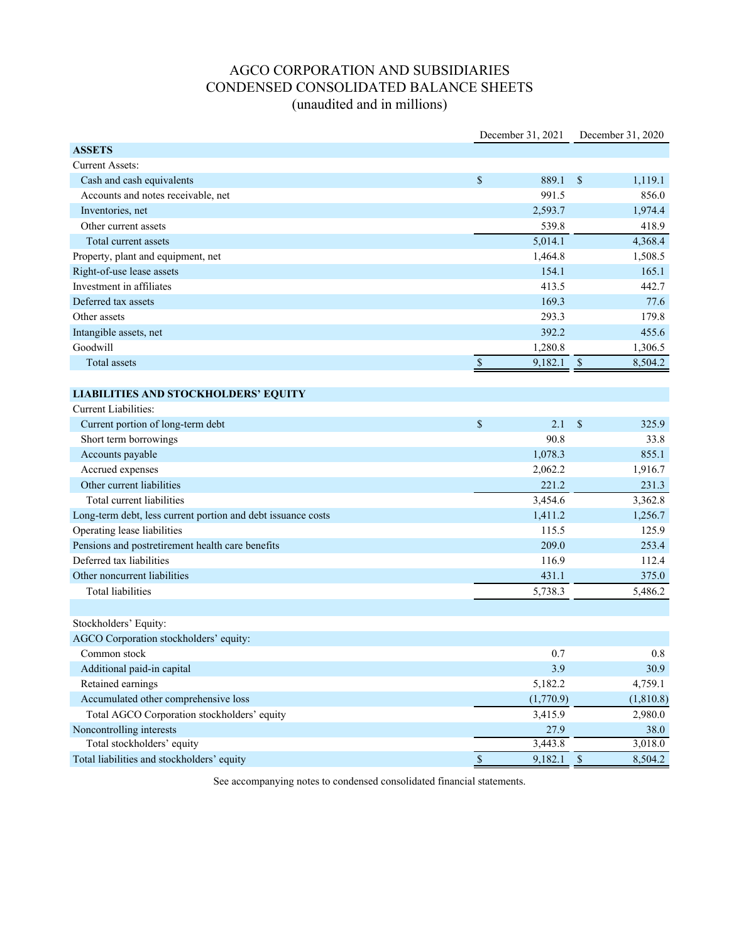# AGCO CORPORATION AND SUBSIDIARIES CONDENSED CONSOLIDATED BALANCE SHEETS (unaudited and in millions)

|                                                              |              | December 31, 2021 |               | December 31, 2020 |
|--------------------------------------------------------------|--------------|-------------------|---------------|-------------------|
| <b>ASSETS</b>                                                |              |                   |               |                   |
| <b>Current Assets:</b>                                       |              |                   |               |                   |
| Cash and cash equivalents                                    | \$           | 889.1             | $\mathcal{S}$ | 1,119.1           |
| Accounts and notes receivable, net                           |              | 991.5             |               | 856.0             |
| Inventories, net                                             |              | 2,593.7           |               | 1,974.4           |
| Other current assets                                         |              | 539.8             |               | 418.9             |
| Total current assets                                         |              | 5,014.1           |               | 4,368.4           |
| Property, plant and equipment, net                           |              | 1,464.8           |               | 1,508.5           |
| Right-of-use lease assets                                    |              | 154.1             |               | 165.1             |
| Investment in affiliates                                     |              | 413.5             |               | 442.7             |
| Deferred tax assets                                          |              | 169.3             |               | 77.6              |
| Other assets                                                 |              | 293.3             |               | 179.8             |
| Intangible assets, net                                       |              | 392.2             |               | 455.6             |
| Goodwill                                                     |              | 1,280.8           |               | 1,306.5           |
| Total assets                                                 | $\mathbb{S}$ | 9,182.1           | $\sqrt{S}$    | 8,504.2           |
|                                                              |              |                   |               |                   |
| <b>LIABILITIES AND STOCKHOLDERS' EQUITY</b>                  |              |                   |               |                   |
| <b>Current Liabilities:</b>                                  |              |                   |               |                   |
| Current portion of long-term debt                            | \$           | 2.1               | \$            | 325.9             |
| Short term borrowings                                        |              | 90.8              |               | 33.8              |
| Accounts payable                                             |              | 1,078.3           |               | 855.1             |
| Accrued expenses                                             |              | 2,062.2           |               | 1,916.7           |
| Other current liabilities                                    |              | 221.2             |               | 231.3             |
| Total current liabilities                                    |              | 3,454.6           |               | 3,362.8           |
| Long-term debt, less current portion and debt issuance costs |              | 1,411.2           |               | 1,256.7           |
| Operating lease liabilities                                  |              | 115.5             |               | 125.9             |
| Pensions and postretirement health care benefits             |              | 209.0             |               | 253.4             |
| Deferred tax liabilities                                     |              | 116.9             |               | 112.4             |
| Other noncurrent liabilities                                 |              | 431.1             |               | 375.0             |
| <b>Total liabilities</b>                                     |              | 5,738.3           |               | 5,486.2           |
|                                                              |              |                   |               |                   |
| Stockholders' Equity:                                        |              |                   |               |                   |
| AGCO Corporation stockholders' equity:                       |              |                   |               |                   |
| Common stock                                                 |              | 0.7               |               | 0.8               |
| Additional paid-in capital                                   |              | 3.9               |               | 30.9              |
| Retained earnings                                            |              | 5,182.2           |               | 4,759.1           |
| Accumulated other comprehensive loss                         |              | (1,770.9)         |               | (1,810.8)         |
| Total AGCO Corporation stockholders' equity                  |              | 3,415.9           |               | 2,980.0           |
| Noncontrolling interests                                     |              | 27.9              |               | 38.0              |
| Total stockholders' equity                                   |              | 3,443.8           |               | 3,018.0           |
| Total liabilities and stockholders' equity                   | $\mathbb S$  | 9,182.1           | $\mathbb{S}$  | 8,504.2           |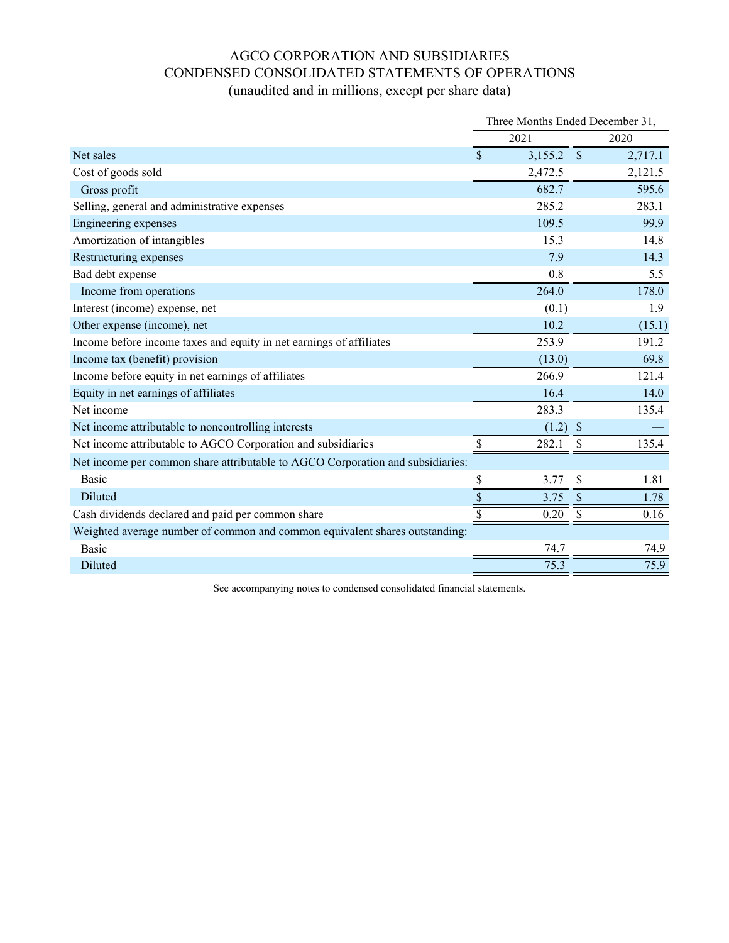# AGCO CORPORATION AND SUBSIDIARIES CONDENSED CONSOLIDATED STATEMENTS OF OPERATIONS (unaudited and in millions, except per share data)

|                                                                                |                                 | Three Months Ended December 31, |                           |         |
|--------------------------------------------------------------------------------|---------------------------------|---------------------------------|---------------------------|---------|
|                                                                                |                                 | 2021                            |                           | 2020    |
| Net sales                                                                      | $\mathbf S$                     | 3,155.2                         | $\mathcal{S}$             | 2,717.1 |
| Cost of goods sold                                                             |                                 | 2,472.5                         |                           | 2,121.5 |
| Gross profit                                                                   |                                 | 682.7                           |                           | 595.6   |
| Selling, general and administrative expenses                                   |                                 | 285.2                           |                           | 283.1   |
| Engineering expenses                                                           |                                 | 109.5                           |                           | 99.9    |
| Amortization of intangibles                                                    |                                 | 15.3                            |                           | 14.8    |
| Restructuring expenses                                                         |                                 | 7.9                             |                           | 14.3    |
| Bad debt expense                                                               |                                 | 0.8                             |                           | 5.5     |
| Income from operations                                                         |                                 | 264.0                           |                           | 178.0   |
| Interest (income) expense, net                                                 |                                 | (0.1)                           |                           | 1.9     |
| Other expense (income), net                                                    |                                 | 10.2                            |                           | (15.1)  |
| Income before income taxes and equity in net earnings of affiliates            |                                 | 253.9                           |                           | 191.2   |
| Income tax (benefit) provision                                                 |                                 | (13.0)                          |                           | 69.8    |
| Income before equity in net earnings of affiliates                             |                                 | 266.9                           |                           | 121.4   |
| Equity in net earnings of affiliates                                           |                                 | 16.4                            |                           | 14.0    |
| Net income                                                                     |                                 | 283.3                           |                           | 135.4   |
| Net income attributable to noncontrolling interests                            |                                 | (1.2)                           | \$                        |         |
| Net income attributable to AGCO Corporation and subsidiaries                   | \$                              | 282.1                           | \$                        | 135.4   |
| Net income per common share attributable to AGCO Corporation and subsidiaries: |                                 |                                 |                           |         |
| <b>Basic</b>                                                                   | $\frac{\mathsf{s}}{\mathsf{s}}$ | 3.77                            | \$                        | 1.81    |
| <b>Diluted</b>                                                                 | $\frac{\mathsf{s}}{\mathsf{s}}$ | 3.75                            | $\boldsymbol{\mathsf{S}}$ | 1.78    |
| Cash dividends declared and paid per common share                              | \$                              | 0.20                            | \$                        | 0.16    |
| Weighted average number of common and common equivalent shares outstanding:    |                                 |                                 |                           |         |
| <b>Basic</b>                                                                   |                                 | 74.7                            |                           | 74.9    |
| Diluted                                                                        |                                 | 75.3                            |                           | 75.9    |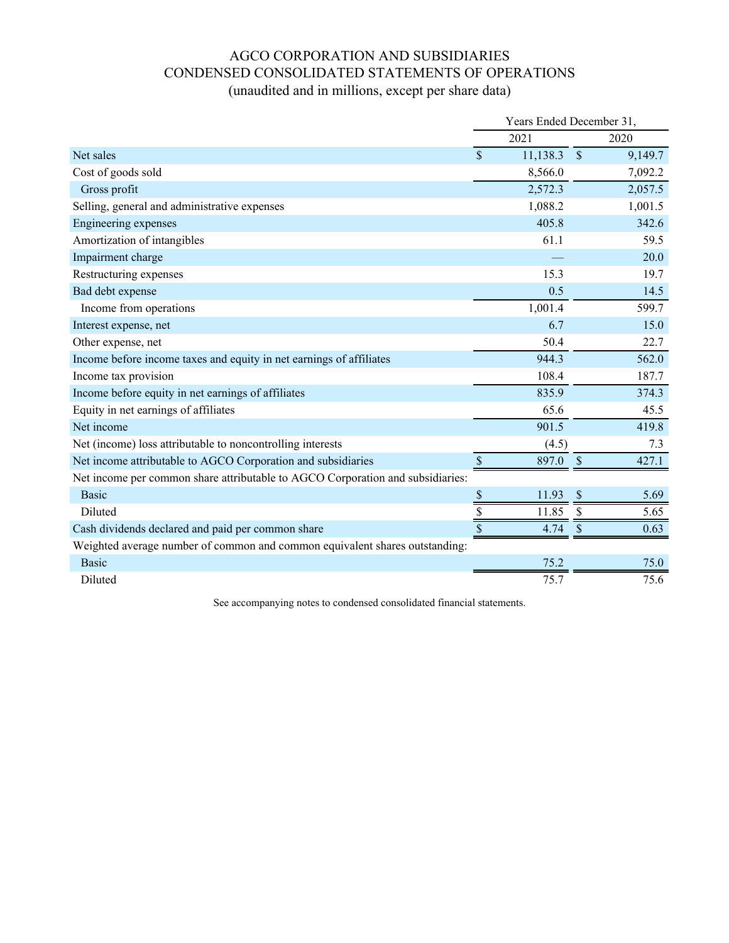# AGCO CORPORATION AND SUBSIDIARIES CONDENSED CONSOLIDATED STATEMENTS OF OPERATIONS (unaudited and in millions, except per share data)

|                                                                                |                    | Years Ended December 31, |                           |         |
|--------------------------------------------------------------------------------|--------------------|--------------------------|---------------------------|---------|
|                                                                                |                    | 2021                     |                           | 2020    |
| Net sales                                                                      | $\mathbf{\hat{S}}$ | 11,138.3                 | $\mathcal{S}$             | 9,149.7 |
| Cost of goods sold                                                             |                    | 8,566.0                  |                           | 7,092.2 |
| Gross profit                                                                   |                    | 2,572.3                  |                           | 2,057.5 |
| Selling, general and administrative expenses                                   |                    | 1,088.2                  |                           | 1,001.5 |
| Engineering expenses                                                           |                    | 405.8                    |                           | 342.6   |
| Amortization of intangibles                                                    |                    | 61.1                     |                           | 59.5    |
| Impairment charge                                                              |                    |                          |                           | 20.0    |
| Restructuring expenses                                                         |                    | 15.3                     |                           | 19.7    |
| Bad debt expense                                                               |                    | 0.5                      |                           | 14.5    |
| Income from operations                                                         |                    | 1,001.4                  |                           | 599.7   |
| Interest expense, net                                                          |                    | 6.7                      |                           | 15.0    |
| Other expense, net                                                             |                    | 50.4                     |                           | 22.7    |
| Income before income taxes and equity in net earnings of affiliates            |                    | 944.3                    |                           | 562.0   |
| Income tax provision                                                           |                    | 108.4                    |                           | 187.7   |
| Income before equity in net earnings of affiliates                             |                    | 835.9                    |                           | 374.3   |
| Equity in net earnings of affiliates                                           |                    | 65.6                     |                           | 45.5    |
| Net income                                                                     |                    | 901.5                    |                           | 419.8   |
| Net (income) loss attributable to noncontrolling interests                     |                    | (4.5)                    |                           | 7.3     |
| Net income attributable to AGCO Corporation and subsidiaries                   | \$                 | 897.0                    | $\mathsf{\$}$             | 427.1   |
| Net income per common share attributable to AGCO Corporation and subsidiaries: |                    |                          |                           |         |
| <b>Basic</b>                                                                   | $rac{s}{s}$        | 11.93                    | $\boldsymbol{\mathsf{S}}$ | 5.69    |
| Diluted                                                                        |                    | 11.85                    | $\overline{\mathsf{S}}$   | 5.65    |
| Cash dividends declared and paid per common share                              |                    | 4.74                     | \$                        | 0.63    |
| Weighted average number of common and common equivalent shares outstanding:    |                    |                          |                           |         |
| <b>Basic</b>                                                                   |                    | 75.2                     |                           | 75.0    |
| Diluted                                                                        |                    | 75.7                     |                           | 75.6    |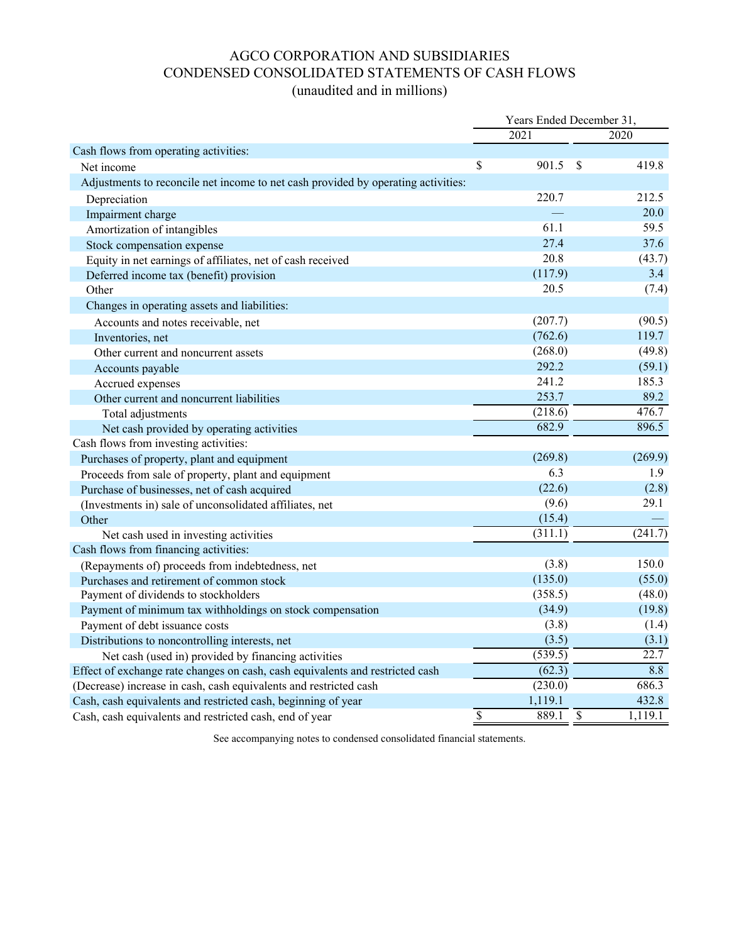# AGCO CORPORATION AND SUBSIDIARIES CONDENSED CONSOLIDATED STATEMENTS OF CASH FLOWS (unaudited and in millions)

|                                                                                   |                 | Years Ended December 31, |                            |       |
|-----------------------------------------------------------------------------------|-----------------|--------------------------|----------------------------|-------|
|                                                                                   |                 | $\overline{202}1$        | 2020                       |       |
| Cash flows from operating activities:                                             |                 |                          |                            |       |
| Net income                                                                        | \$              | 901.5                    | <sup>\$</sup><br>419.8     |       |
| Adjustments to reconcile net income to net cash provided by operating activities: |                 |                          |                            |       |
| Depreciation                                                                      |                 | 220.7                    | 212.5                      |       |
| Impairment charge                                                                 |                 |                          | 20.0                       |       |
| Amortization of intangibles                                                       |                 | 61.1                     | 59.5                       |       |
| Stock compensation expense                                                        |                 | 27.4                     | 37.6                       |       |
| Equity in net earnings of affiliates, net of cash received                        |                 | 20.8                     | (43.7)                     |       |
| Deferred income tax (benefit) provision                                           |                 | (117.9)                  |                            | 3.4   |
| Other                                                                             |                 | 20.5                     |                            | (7.4) |
| Changes in operating assets and liabilities:                                      |                 |                          |                            |       |
| Accounts and notes receivable, net                                                |                 | (207.7)                  | (90.5)                     |       |
| Inventories, net                                                                  |                 | (762.6)                  | 119.7                      |       |
| Other current and noncurrent assets                                               |                 | (268.0)                  | (49.8)                     |       |
| Accounts payable                                                                  |                 | 292.2                    | (59.1)                     |       |
| Accrued expenses                                                                  |                 | 241.2                    | 185.3                      |       |
| Other current and noncurrent liabilities                                          |                 | 253.7                    | 89.2                       |       |
| Total adjustments                                                                 |                 | (218.6)                  | 476.7                      |       |
| Net cash provided by operating activities                                         |                 | 682.9                    | 896.5                      |       |
| Cash flows from investing activities:                                             |                 |                          |                            |       |
| Purchases of property, plant and equipment                                        |                 | (269.8)                  | (269.9)                    |       |
| Proceeds from sale of property, plant and equipment                               |                 | 6.3                      |                            | 1.9   |
| Purchase of businesses, net of cash acquired                                      |                 | (22.6)                   |                            | (2.8) |
| (Investments in) sale of unconsolidated affiliates, net                           |                 | (9.6)                    | 29.1                       |       |
| Other                                                                             |                 | (15.4)                   |                            |       |
| Net cash used in investing activities                                             |                 | (311.1)                  | (241.7)                    |       |
| Cash flows from financing activities:                                             |                 |                          |                            |       |
| (Repayments of) proceeds from indebtedness, net                                   |                 | (3.8)                    | 150.0                      |       |
| Purchases and retirement of common stock                                          |                 | (135.0)                  | (55.0)                     |       |
| Payment of dividends to stockholders                                              |                 | (358.5)                  | (48.0)                     |       |
| Payment of minimum tax withholdings on stock compensation                         |                 | (34.9)                   | (19.8)                     |       |
| Payment of debt issuance costs                                                    |                 | (3.8)                    |                            | (1.4) |
| Distributions to noncontrolling interests, net                                    |                 | (3.5)                    |                            | (3.1) |
| Net cash (used in) provided by financing activities                               |                 | (539.5)                  | 22.7                       |       |
| Effect of exchange rate changes on cash, cash equivalents and restricted cash     |                 | (62.3)                   |                            | 8.8   |
| (Decrease) increase in cash, cash equivalents and restricted cash                 |                 | (230.0)                  | 686.3                      |       |
| Cash, cash equivalents and restricted cash, beginning of year                     |                 | 1,119.1                  | 432.8                      |       |
| Cash, cash equivalents and restricted cash, end of year                           | $\overline{\$}$ | 889.1                    | $\overline{\$}$<br>1,119.1 |       |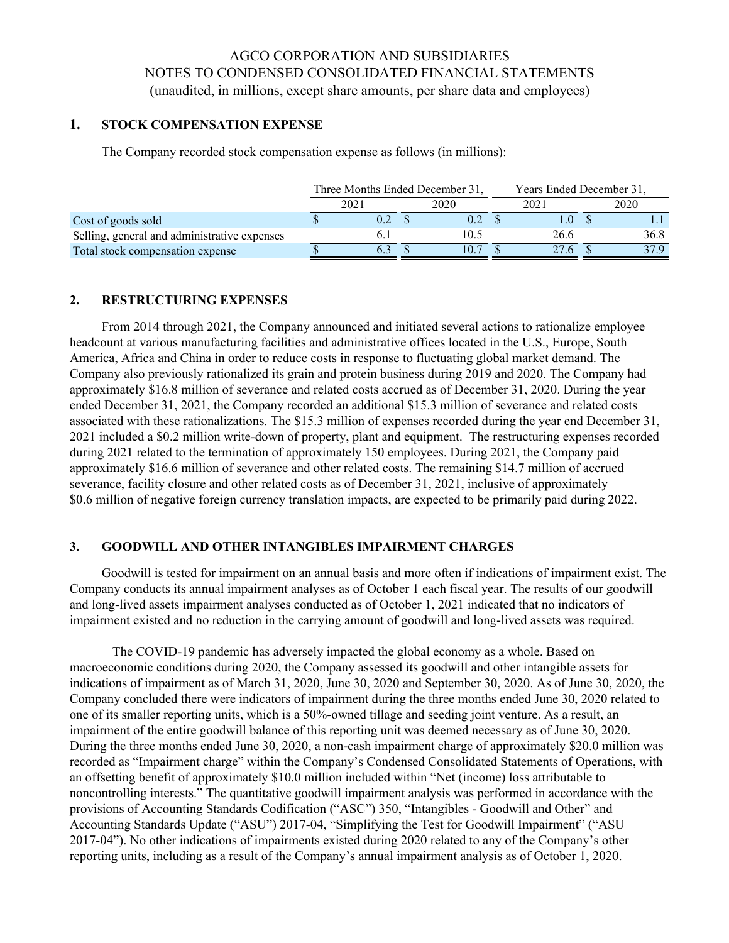# AGCO CORPORATION AND SUBSIDIARIES NOTES TO CONDENSED CONSOLIDATED FINANCIAL STATEMENTS (unaudited, in millions, except share amounts, per share data and employees)

## **1. STOCK COMPENSATION EXPENSE**

The Company recorded stock compensation expense as follows (in millions):

|                                              |      | Three Months Ended December 31, |      | Years Ended December 31. |      |  |
|----------------------------------------------|------|---------------------------------|------|--------------------------|------|--|
|                                              | 2021 | 2020                            | 2021 |                          | 2020 |  |
| Cost of goods sold                           |      | 0.2                             |      |                          |      |  |
| Selling, general and administrative expenses |      | 10.5                            | 26.6 |                          | 36.8 |  |
| Total stock compensation expense             |      | 10.7                            | 27.6 |                          |      |  |

### **2. RESTRUCTURING EXPENSES**

From 2014 through 2021, the Company announced and initiated several actions to rationalize employee headcount at various manufacturing facilities and administrative offices located in the U.S., Europe, South America, Africa and China in order to reduce costs in response to fluctuating global market demand. The Company also previously rationalized its grain and protein business during 2019 and 2020. The Company had approximately \$16.8 million of severance and related costs accrued as of December 31, 2020. During the year ended December 31, 2021, the Company recorded an additional \$15.3 million of severance and related costs associated with these rationalizations. The \$15.3 million of expenses recorded during the year end December 31, 2021 included a \$0.2 million write-down of property, plant and equipment. The restructuring expenses recorded during 2021 related to the termination of approximately 150 employees. During 2021, the Company paid approximately \$16.6 million of severance and other related costs. The remaining \$14.7 million of accrued severance, facility closure and other related costs as of December 31, 2021, inclusive of approximately \$0.6 million of negative foreign currency translation impacts, are expected to be primarily paid during 2022.

## **3. GOODWILL AND OTHER INTANGIBLES IMPAIRMENT CHARGES**

 Goodwill is tested for impairment on an annual basis and more often if indications of impairment exist. The Company conducts its annual impairment analyses as of October 1 each fiscal year. The results of our goodwill and long-lived assets impairment analyses conducted as of October 1, 2021 indicated that no indicators of impairment existed and no reduction in the carrying amount of goodwill and long-lived assets was required.

The COVID-19 pandemic has adversely impacted the global economy as a whole. Based on macroeconomic conditions during 2020, the Company assessed its goodwill and other intangible assets for indications of impairment as of March 31, 2020, June 30, 2020 and September 30, 2020. As of June 30, 2020, the Company concluded there were indicators of impairment during the three months ended June 30, 2020 related to one of its smaller reporting units, which is a 50%-owned tillage and seeding joint venture. As a result, an impairment of the entire goodwill balance of this reporting unit was deemed necessary as of June 30, 2020. During the three months ended June 30, 2020, a non-cash impairment charge of approximately \$20.0 million was recorded as "Impairment charge" within the Company's Condensed Consolidated Statements of Operations, with an offsetting benefit of approximately \$10.0 million included within "Net (income) loss attributable to noncontrolling interests." The quantitative goodwill impairment analysis was performed in accordance with the provisions of Accounting Standards Codification ("ASC") 350, "Intangibles - Goodwill and Other" and Accounting Standards Update ("ASU") 2017-04, "Simplifying the Test for Goodwill Impairment" ("ASU 2017-04"). No other indications of impairments existed during 2020 related to any of the Company's other reporting units, including as a result of the Company's annual impairment analysis as of October 1, 2020.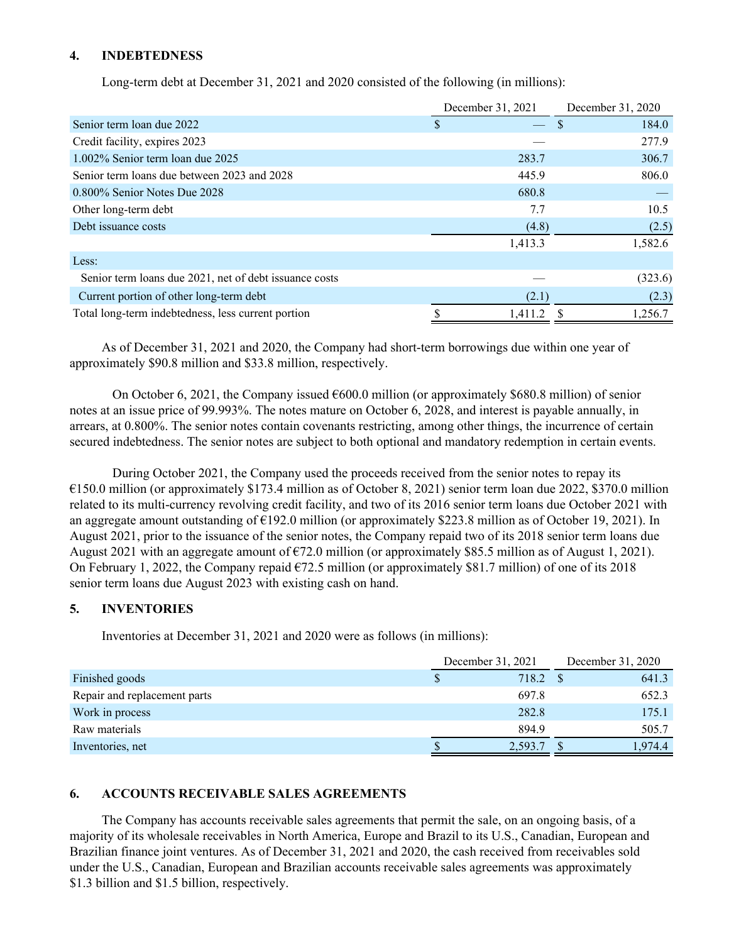## **4. INDEBTEDNESS**

Long-term debt at December 31, 2021 and 2020 consisted of the following (in millions):

|                                                        | December 31, 2021 | December 31, 2020 |
|--------------------------------------------------------|-------------------|-------------------|
| Senior term loan due 2022                              | \$                | 184.0             |
| Credit facility, expires 2023                          |                   | 277.9             |
| 1.002% Senior term loan due 2025                       | 283.7             | 306.7             |
| Senior term loans due between 2023 and 2028            | 445.9             | 806.0             |
| 0.800% Senior Notes Due 2028                           | 680.8             |                   |
| Other long-term debt                                   | 7.7               | 10.5              |
| Debt issuance costs                                    | (4.8)             | (2.5)             |
|                                                        | 1,413.3           | 1,582.6           |
| Less:                                                  |                   |                   |
| Senior term loans due 2021, net of debt issuance costs |                   | (323.6)           |
| Current portion of other long-term debt                | (2.1)             | (2.3)             |
| Total long-term indebtedness, less current portion     | 1,411.2           | 1,256.7           |

As of December 31, 2021 and 2020, the Company had short-term borrowings due within one year of approximately \$90.8 million and \$33.8 million, respectively.

On October 6, 2021, the Company issued €600.0 million (or approximately \$680.8 million) of senior notes at an issue price of 99.993%. The notes mature on October 6, 2028, and interest is payable annually, in arrears, at 0.800%. The senior notes contain covenants restricting, among other things, the incurrence of certain secured indebtedness. The senior notes are subject to both optional and mandatory redemption in certain events.

During October 2021, the Company used the proceeds received from the senior notes to repay its  $€150.0$  million (or approximately \$173.4 million as of October 8, 2021) senior term loan due 2022, \$370.0 million related to its multi-currency revolving credit facility, and two of its 2016 senior term loans due October 2021 with an aggregate amount outstanding of  $\epsilon$ 192.0 million (or approximately \$223.8 million as of October 19, 2021). In August 2021, prior to the issuance of the senior notes, the Company repaid two of its 2018 senior term loans due August 2021 with an aggregate amount of  $\epsilon$ 72.0 million (or approximately \$85.5 million as of August 1, 2021). On February 1, 2022, the Company repaid  $\epsilon$  = 72.5 million (or approximately \$81.7 million) of one of its 2018 senior term loans due August 2023 with existing cash on hand.

## **5. INVENTORIES**

Inventories at December 31, 2021 and 2020 were as follows (in millions):

|                              | December 31, 2021 |         | December 31, 2020 |        |
|------------------------------|-------------------|---------|-------------------|--------|
| Finished goods               |                   | 718.2   |                   | 641.3  |
| Repair and replacement parts |                   | 697.8   |                   | 652.3  |
| Work in process              |                   | 282.8   |                   | 175.1  |
| Raw materials                |                   | 894.9   |                   | 505.7  |
| Inventories, net             |                   | 2,593.7 |                   | .974.4 |

## **6. ACCOUNTS RECEIVABLE SALES AGREEMENTS**

The Company has accounts receivable sales agreements that permit the sale, on an ongoing basis, of a majority of its wholesale receivables in North America, Europe and Brazil to its U.S., Canadian, European and Brazilian finance joint ventures. As of December 31, 2021 and 2020, the cash received from receivables sold under the U.S., Canadian, European and Brazilian accounts receivable sales agreements was approximately \$1.3 billion and \$1.5 billion, respectively.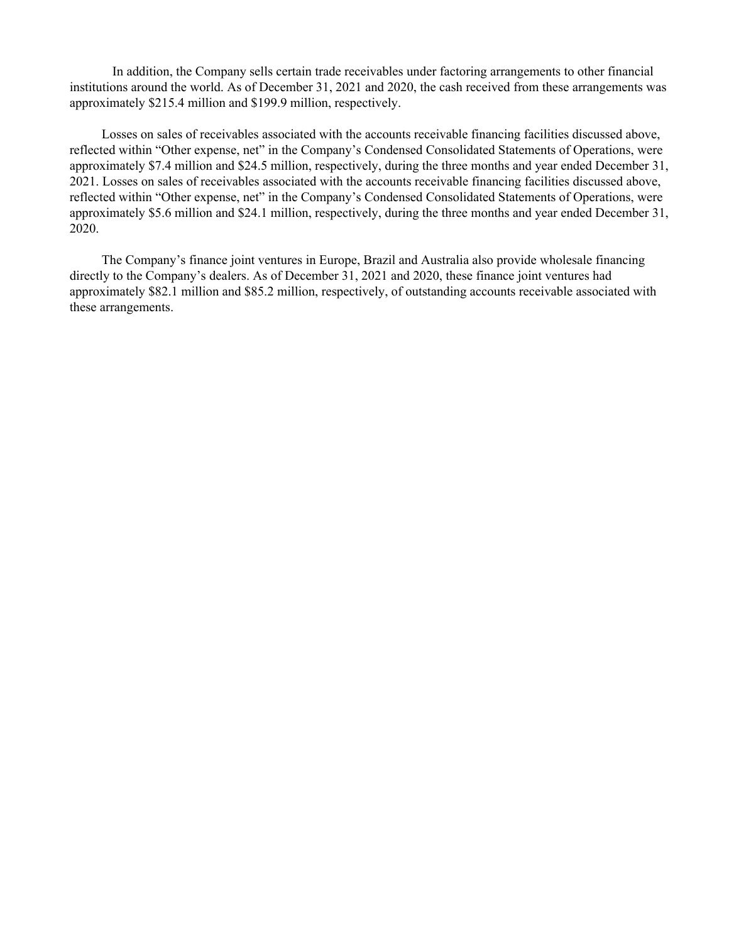In addition, the Company sells certain trade receivables under factoring arrangements to other financial institutions around the world. As of December 31, 2021 and 2020, the cash received from these arrangements was approximately \$215.4 million and \$199.9 million, respectively.

 Losses on sales of receivables associated with the accounts receivable financing facilities discussed above, reflected within "Other expense, net" in the Company's Condensed Consolidated Statements of Operations, were approximately \$7.4 million and \$24.5 million, respectively, during the three months and year ended December 31, 2021. Losses on sales of receivables associated with the accounts receivable financing facilities discussed above, reflected within "Other expense, net" in the Company's Condensed Consolidated Statements of Operations, were approximately \$5.6 million and \$24.1 million, respectively, during the three months and year ended December 31, 2020.

 The Company's finance joint ventures in Europe, Brazil and Australia also provide wholesale financing directly to the Company's dealers. As of December 31, 2021 and 2020, these finance joint ventures had approximately \$82.1 million and \$85.2 million, respectively, of outstanding accounts receivable associated with these arrangements.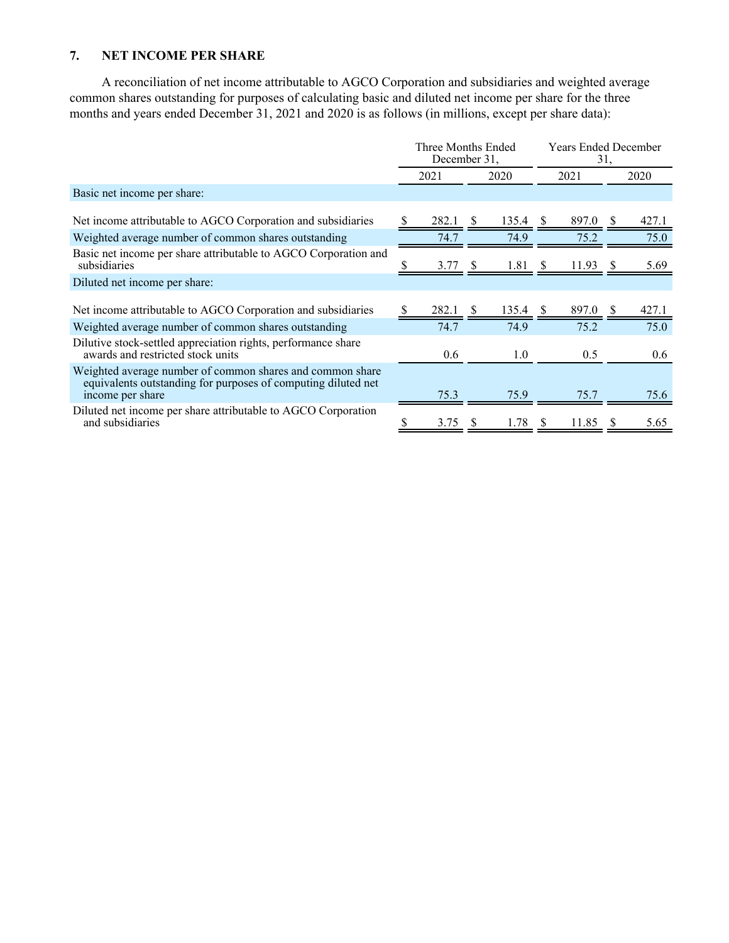# **7. NET INCOME PER SHARE**

 A reconciliation of net income attributable to AGCO Corporation and subsidiaries and weighted average common shares outstanding for purposes of calculating basic and diluted net income per share for the three months and years ended December 31, 2021 and 2020 is as follows (in millions, except per share data):

|                                                                                                                                                | Three Months Ended<br>December 31. |    |       | <b>Years Ended December</b> | 31, |       |
|------------------------------------------------------------------------------------------------------------------------------------------------|------------------------------------|----|-------|-----------------------------|-----|-------|
|                                                                                                                                                | 2021                               |    | 2020  | 2021                        |     | 2020  |
| Basic net income per share:                                                                                                                    |                                    |    |       |                             |     |       |
| Net income attributable to AGCO Corporation and subsidiaries                                                                                   | 282.1                              | S  | 135.4 | 897.0                       |     | 427.1 |
| Weighted average number of common shares outstanding                                                                                           | 74.7                               |    | 74.9  | 75.2                        |     | 75.0  |
| Basic net income per share attributable to AGCO Corporation and<br>subsidiaries                                                                | 3.77                               | -S | 1.81S | 11.93                       | - S | 5.69  |
| Diluted net income per share:                                                                                                                  |                                    |    |       |                             |     |       |
| Net income attributable to AGCO Corporation and subsidiaries                                                                                   | 282.1                              |    | 135.4 | 897.0                       |     | 427.1 |
| Weighted average number of common shares outstanding                                                                                           | 74.7                               |    | 74.9  | 75.2                        |     | 75.0  |
| Dilutive stock-settled appreciation rights, performance share<br>awards and restricted stock units                                             | 0.6                                |    | 1.0   | 0.5                         |     | 0.6   |
| Weighted average number of common shares and common share<br>equivalents outstanding for purposes of computing diluted net<br>income per share | 75.3                               |    | 75.9  | 75.7                        |     | 75.6  |
| Diluted net income per share attributable to AGCO Corporation<br>and subsidiaries                                                              | 3.75                               | S  | 1.78  | 11.85                       | \$. | 5.65  |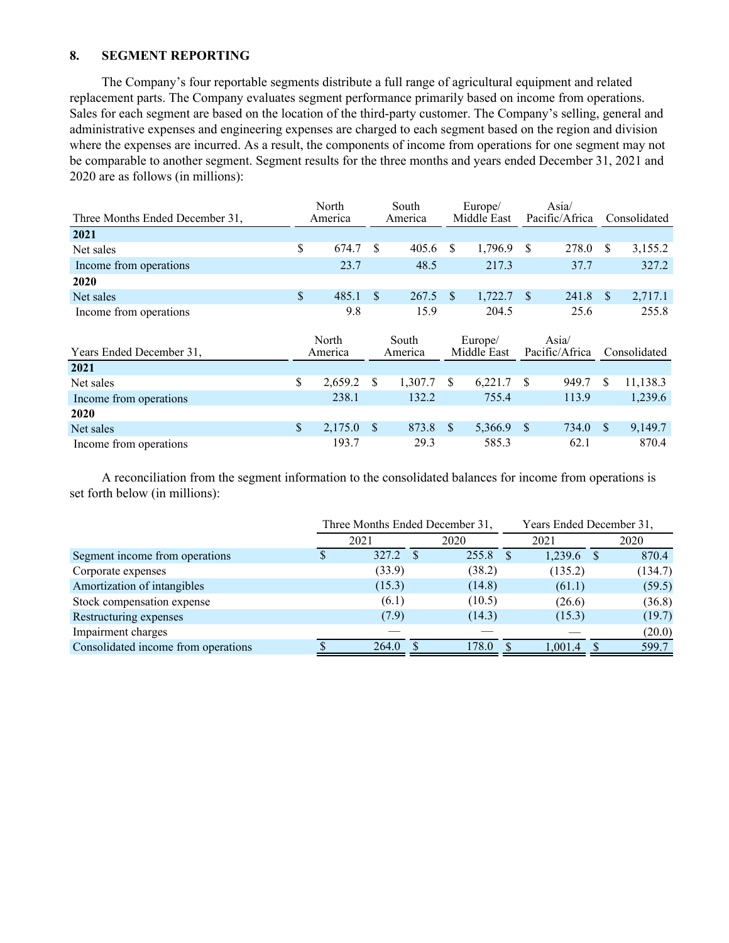### **8. SEGMENT REPORTING**

 The Company's four reportable segments distribute a full range of agricultural equipment and related replacement parts. The Company evaluates segment performance primarily based on income from operations. Sales for each segment are based on the location of the third-party customer. The Company's selling, general and administrative expenses and engineering expenses are charged to each segment based on the region and division where the expenses are incurred. As a result, the components of income from operations for one segment may not be comparable to another segment. Segment results for the three months and years ended December 31, 2021 and 2020 are as follows (in millions):

|                                 |               | North   |          | South   |               | Europe/     |              | Asia/          |               |              |
|---------------------------------|---------------|---------|----------|---------|---------------|-------------|--------------|----------------|---------------|--------------|
| Three Months Ended December 31. |               | America |          | America |               | Middle East |              | Pacific/Africa |               | Consolidated |
| 2021                            |               |         |          |         |               |             |              |                |               |              |
| Net sales                       | \$            | 674.7   | S        | 405.6   | <b>S</b>      | 1,796.9     | \$           | 278.0          | S.            | 3,155.2      |
| Income from operations          |               | 23.7    |          | 48.5    |               | 217.3       |              | 37.7           |               | 327.2        |
| 2020                            |               |         |          |         |               |             |              |                |               |              |
| Net sales                       | $\mathcal{S}$ | 485.1   | <b>S</b> | 267.5   | <sup>\$</sup> | 1,722.7     | \$.          | 241.8          | <sup>\$</sup> | 2,717.1      |
| Income from operations          |               | 9.8     |          | 15.9    |               | 204.5       |              | 25.6           |               | 255.8        |
|                                 |               |         |          |         |               |             |              |                |               |              |
|                                 |               |         |          |         |               |             |              |                |               |              |
|                                 |               | North   |          | South   |               | Europe/     |              | Asia/          |               |              |
| Years Ended December 31.        |               | America |          | America |               | Middle East |              | Pacific/Africa |               | Consolidated |
| 2021                            |               |         |          |         |               |             |              |                |               |              |
| Net sales                       | \$            | 2,659.2 | \$.      | 1,307.7 | \$.           | 6,221.7     | -S           | 949.7          | <sup>\$</sup> | 11,138.3     |
| Income from operations          |               | 238.1   |          | 132.2   |               | 755.4       |              | 113.9          |               | 1,239.6      |
| 2020                            |               |         |          |         |               |             |              |                |               |              |
| Net sales                       | $\mathcal{S}$ | 2,175.0 | -\$      | 873.8   | \$.           | 5,366.9     | <sup>S</sup> | 734.0          | -S            | 9,149.7      |

 A reconciliation from the segment information to the consolidated balances for income from operations is set forth below (in millions):

|                                     |        | Three Months Ended December 31, | Years Ended December 31, |         |  |         |  |
|-------------------------------------|--------|---------------------------------|--------------------------|---------|--|---------|--|
|                                     | 2021   | 2020                            |                          | 2021    |  | 2020    |  |
| Segment income from operations      | 327.2  | 255.8 \$                        |                          | 1,239.6 |  | 870.4   |  |
| Corporate expenses                  | (33.9) | (38.2)                          |                          | (135.2) |  | (134.7) |  |
| Amortization of intangibles         | (15.3) | (14.8)                          |                          | (61.1)  |  | (59.5)  |  |
| Stock compensation expense          | (6.1)  | (10.5)                          |                          | (26.6)  |  | (36.8)  |  |
| Restructuring expenses              | (7.9)  | (14.3)                          |                          | (15.3)  |  | (19.7)  |  |
| Impairment charges                  |        |                                 |                          |         |  | (20.0)  |  |
| Consolidated income from operations | 264.0  | 178.0                           |                          | 1,001.4 |  | 599.7   |  |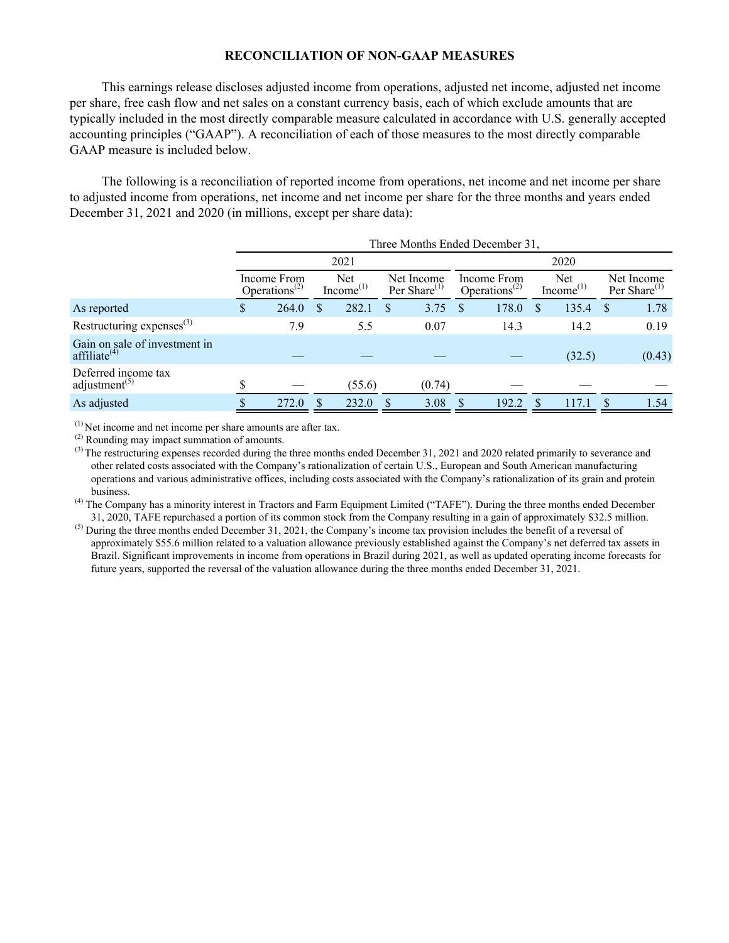#### **RECONCILIATION OF NON-GAAP MEASURES**

 This earnings release discloses adjusted income from operations, adjusted net income, adjusted net income per share, free cash flow and net sales on a constant currency basis, each of which exclude amounts that are typically included in the most directly comparable measure calculated in accordance with U.S. generally accepted accounting principles ("GAAP"). A reconciliation of each of those measures to the most directly comparable GAAP measure is included below.

 The following is a reconciliation of reported income from operations, net income and net income per share to adjusted income from operations, net income and net income per share for the three months and years ended December 31, 2021 and 2020 (in millions, except per share data):

|                                                               |      | Three Months Ended December 31.                       |                              |        |                                        |        |                                                       |       |                        |        |                               |        |  |
|---------------------------------------------------------------|------|-------------------------------------------------------|------------------------------|--------|----------------------------------------|--------|-------------------------------------------------------|-------|------------------------|--------|-------------------------------|--------|--|
|                                                               | 2021 |                                                       |                              |        |                                        |        | 2020                                                  |       |                        |        |                               |        |  |
|                                                               |      | Income From<br>Operations <sup><math>(2)</math></sup> | Net<br>Income <sup>(1)</sup> |        | Net Income<br>Per Share <sup>(1)</sup> |        | Income From<br>Operations <sup><math>(2)</math></sup> |       | Net<br>Income $^{(1)}$ |        | Net Income<br>Per Share $(1)$ |        |  |
| As reported                                                   | S    | 264.0                                                 | S                            | 282.1  | S                                      | 3.75   | \$.                                                   | 178.0 | S                      | 135.4  | \$.                           | 1.78   |  |
| Restructuring expenses $^{(3)}$                               |      | 7.9                                                   |                              | 5.5    |                                        | 0.07   |                                                       | 14.3  |                        | 14.2   |                               | 0.19   |  |
| Gain on sale of investment in<br>affiliate $(4)$              |      |                                                       |                              |        |                                        |        |                                                       |       |                        | (32.5) |                               | (0.43) |  |
| Deferred income tax<br>adjustment <sup><math>(5)</math></sup> |      |                                                       |                              | (55.6) |                                        | (0.74) |                                                       |       |                        |        |                               |        |  |
| As adjusted                                                   |      | 272.0                                                 |                              | 232.0  |                                        | 3.08   |                                                       | 192.2 | S                      | 117.1  |                               | 1.54   |  |
|                                                               |      |                                                       |                              |        |                                        |        |                                                       |       |                        |        |                               |        |  |

 $<sup>(1)</sup>$  Net income and net income per share amounts are after tax.</sup>

(2) Rounding may impact summation of amounts.

 $^{(3)}$  The restructuring expenses recorded during the three months ended December 31, 2021 and 2020 related primarily to severance and other related costs associated with the Company's rationalization of certain U.S., European and South American manufacturing operations and various administrative offices, including costs associated with the Company's rationalization of its grain and protein business.

<sup>(4)</sup> The Company has a minority interest in Tractors and Farm Equipment Limited ("TAFE"). During the three months ended December 31, 2020, TAFE repurchased a portion of its common stock from the Company resulting in a gain of approximately \$32.5 million.

<sup>(5)</sup> During the three months ended December 31, 2021, the Company's income tax provision includes the benefit of a reversal of approximately \$55.6 million related to a valuation allowance previously established against the Company's net deferred tax assets in Brazil. Significant improvements in income from operations in Brazil during 2021, as well as updated operating income forecasts for future years, supported the reversal of the valuation allowance during the three months ended December 31, 2021.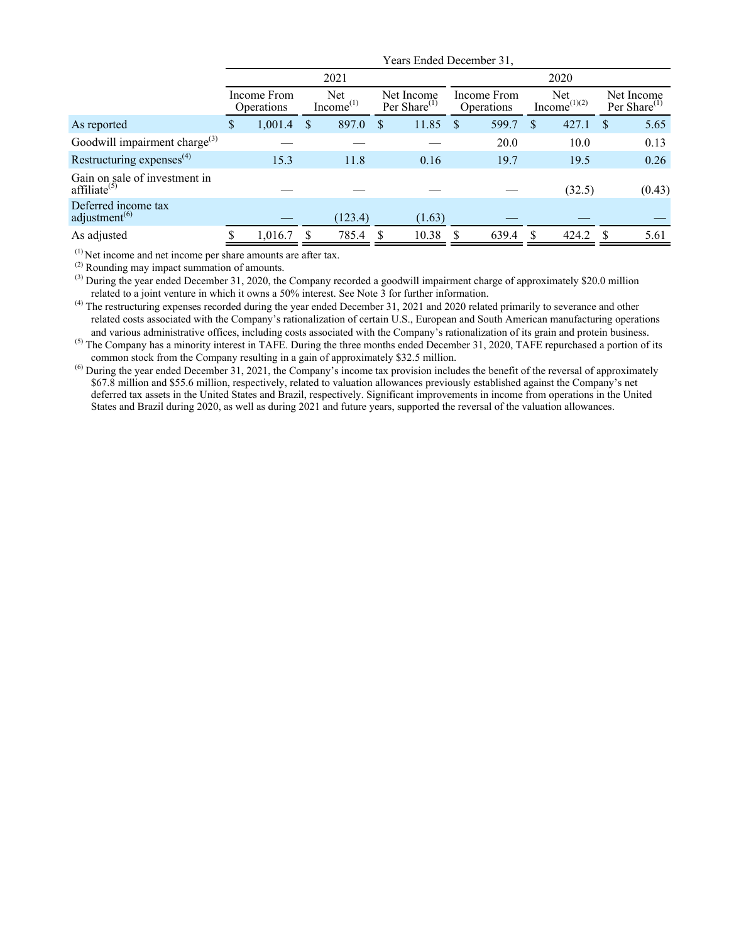|                                                           | I cals Eliucu Deceniuci 91, |                           |   |                              |   |                                  |     |                                         |     |                                              |     |                                  |  |
|-----------------------------------------------------------|-----------------------------|---------------------------|---|------------------------------|---|----------------------------------|-----|-----------------------------------------|-----|----------------------------------------------|-----|----------------------------------|--|
|                                                           | 2021                        |                           |   |                              |   |                                  |     | 2020                                    |     |                                              |     |                                  |  |
|                                                           |                             | Income From<br>Operations |   | Net<br>Income <sup>(1)</sup> |   | Net Income<br>Per Share $^{(1)}$ |     | Income From<br><i><b>Operations</b></i> |     | Net<br>Income <sup><math>(1)(2)</math></sup> |     | Net Income<br>Per Share $^{(1)}$ |  |
| As reported                                               | S                           | 1,001.4                   | S | 897.0                        | S | 11.85                            | \$. | 599.7                                   | S   | 427.1                                        | \$. | 5.65                             |  |
| Goodwill impairment charge <sup>(3)</sup>                 |                             |                           |   |                              |   |                                  |     | 20.0                                    |     | 10.0                                         |     | 0.13                             |  |
| Restructuring expenses $(4)$                              |                             | 15.3                      |   | 11.8                         |   | 0.16                             |     | 19.7                                    |     | 19.5                                         |     | 0.26                             |  |
| Gain on sale of investment in<br>affiliate <sup>(5)</sup> |                             |                           |   |                              |   |                                  |     |                                         |     | (32.5)                                       |     | (0.43)                           |  |
| Deferred income tax<br>adjustment <sup>(6)</sup>          |                             |                           |   | (123.4)                      |   | (1.63)                           |     |                                         |     |                                              |     |                                  |  |
| As adjusted                                               |                             | 1,016.7                   |   | 785.4                        |   | 10.38                            |     | 639.4                                   | \$. | 424.2                                        |     | 5.61                             |  |

Years Ended December 31,

(1) Net income and net income per share amounts are after tax.

(2) Rounding may impact summation of amounts.

<sup>(3)</sup> During the year ended December 31, 2020, the Company recorded a goodwill impairment charge of approximately \$20.0 million related to a joint venture in which it owns a 50% interest. See Note 3 for further information.

<sup>(4)</sup> The restructuring expenses recorded during the year ended December 31, 2021 and 2020 related primarily to severance and other related costs associated with the Company's rationalization of certain U.S., European and South American manufacturing operations and various administrative offices, including costs associated with the Company's rationalization of its grain and protein business.

<sup>(5)</sup> The Company has a minority interest in TAFE. During the three months ended December 31, 2020, TAFE repurchased a portion of its common stock from the Company resulting in a gain of approximately \$32.5 million.

 $^{(6)}$  During the year ended December 31, 2021, the Company's income tax provision includes the benefit of the reversal of approximately \$67.8 million and \$55.6 million, respectively, related to valuation allowances previously established against the Company's net deferred tax assets in the United States and Brazil, respectively. Significant improvements in income from operations in the United States and Brazil during 2020, as well as during 2021 and future years, supported the reversal of the valuation allowances.